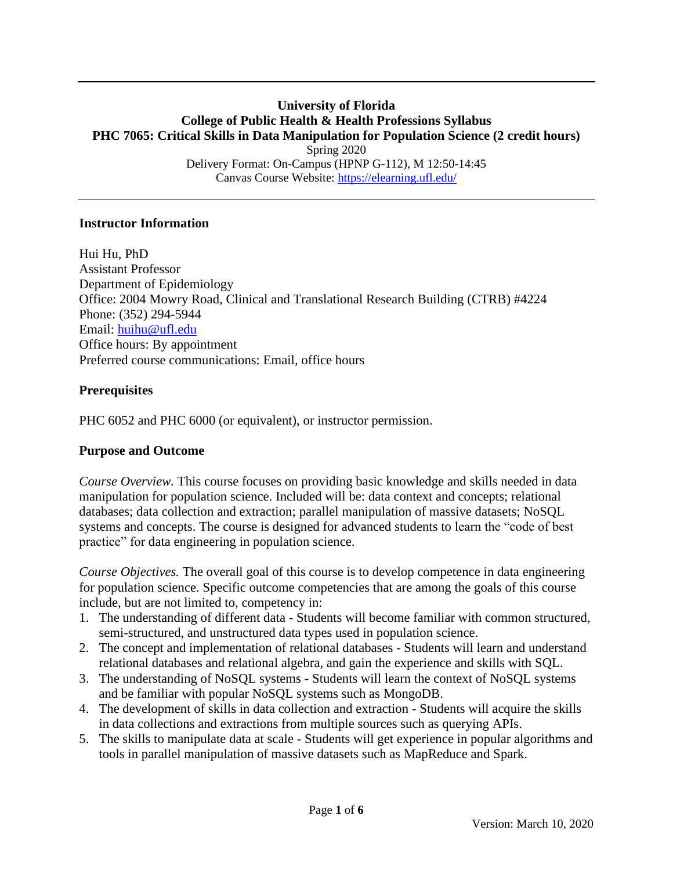### **University of Florida College of Public Health & Health Professions Syllabus PHC 7065: Critical Skills in Data Manipulation for Population Science (2 credit hours)** Spring 2020 Delivery Format: On-Campus (HPNP G-112), M 12:50-14:45 Canvas Course Website:<https://elearning.ufl.edu/>

### **Instructor Information**

Hui Hu, PhD Assistant Professor Department of Epidemiology Office: 2004 Mowry Road, Clinical and Translational Research Building (CTRB) #4224 Phone: (352) 294-5944 Email: [huihu@ufl.edu](mailto:huihu@ufl.edu) Office hours: By appointment Preferred course communications: Email, office hours

### **Prerequisites**

PHC 6052 and PHC 6000 (or equivalent), or instructor permission.

### **Purpose and Outcome**

*Course Overview.* This course focuses on providing basic knowledge and skills needed in data manipulation for population science. Included will be: data context and concepts; relational databases; data collection and extraction; parallel manipulation of massive datasets; NoSQL systems and concepts. The course is designed for advanced students to learn the "code of best practice" for data engineering in population science.

*Course Objectives.* The overall goal of this course is to develop competence in data engineering for population science. Specific outcome competencies that are among the goals of this course include, but are not limited to, competency in:

- 1. The understanding of different data Students will become familiar with common structured, semi-structured, and unstructured data types used in population science.
- 2. The concept and implementation of relational databases Students will learn and understand relational databases and relational algebra, and gain the experience and skills with SQL.
- 3. The understanding of NoSQL systems Students will learn the context of NoSQL systems and be familiar with popular NoSQL systems such as MongoDB.
- 4. The development of skills in data collection and extraction Students will acquire the skills in data collections and extractions from multiple sources such as querying APIs.
- 5. The skills to manipulate data at scale Students will get experience in popular algorithms and tools in parallel manipulation of massive datasets such as MapReduce and Spark.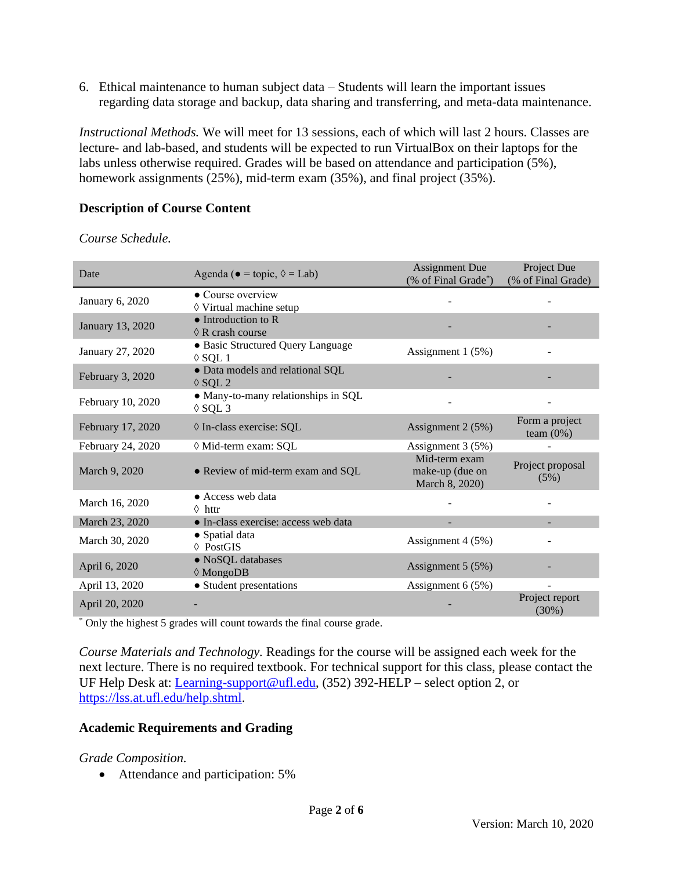6. Ethical maintenance to human subject data – Students will learn the important issues regarding data storage and backup, data sharing and transferring, and meta-data maintenance.

*Instructional Methods.* We will meet for 13 sessions, each of which will last 2 hours. Classes are lecture- and lab-based, and students will be expected to run VirtualBox on their laptops for the labs unless otherwise required. Grades will be based on attendance and participation (5%), homework assignments (25%), mid-term exam (35%), and final project (35%).

# **Description of Course Content**

*Course Schedule.*

| Date              | Agenda ( $\bullet$ = topic, $\Diamond$ = Lab)            | <b>Assignment Due</b><br>(% of Final Grade*)       | Project Due<br>(% of Final Grade) |  |
|-------------------|----------------------------------------------------------|----------------------------------------------------|-----------------------------------|--|
| January 6, 2020   | • Course overview<br>◊ Virtual machine setup             |                                                    |                                   |  |
| January 13, 2020  | $\bullet$ Introduction to R<br>$\Diamond$ R crash course |                                                    |                                   |  |
| January 27, 2020  | · Basic Structured Query Language<br>$\Diamond$ SQL 1    | Assignment 1 (5%)                                  |                                   |  |
| February 3, 2020  | • Data models and relational SQL<br>$\Diamond$ SQL 2     |                                                    |                                   |  |
| February 10, 2020 | • Many-to-many relationships in SQL<br>$\Diamond$ SQL 3  |                                                    |                                   |  |
| February 17, 2020 | ◊ In-class exercise: SQL                                 | Assignment 2 (5%)                                  | Form a project<br>team $(0\%)$    |  |
| February 24, 2020 | ◊ Mid-term exam: SQL                                     | Assignment 3 (5%)                                  |                                   |  |
| March 9, 2020     | • Review of mid-term exam and SQL                        | Mid-term exam<br>make-up (due on<br>March 8, 2020) | Project proposal<br>(5%)          |  |
| March 16, 2020    | • Access web data<br>$\Diamond$ httr                     |                                                    |                                   |  |
| March 23, 2020    | · In-class exercise: access web data                     |                                                    |                                   |  |
| March 30, 2020    | • Spatial data<br>$\lozenge$ PostGIS                     | Assignment 4 (5%)                                  |                                   |  |
| April 6, 2020     | • NoSQL databases<br>$\Diamond$ MongoDB                  | Assignment 5 (5%)                                  |                                   |  |
| April 13, 2020    | • Student presentations                                  | Assignment $6(5%)$                                 | $\blacksquare$                    |  |
| April 20, 2020    |                                                          |                                                    | Project report<br>(30%)           |  |

\* Only the highest 5 grades will count towards the final course grade.

*Course Materials and Technology.* Readings for the course will be assigned each week for the next lecture. There is no required textbook. For technical support for this class, please contact the UF Help Desk at: *Learning-support@ufl.edu*, (352) 392-HELP – select option 2, or [https://lss.at.ufl.edu/help.shtml.](https://lss.at.ufl.edu/help.shtml)

### **Academic Requirements and Grading**

### *Grade Composition.*

• Attendance and participation: 5%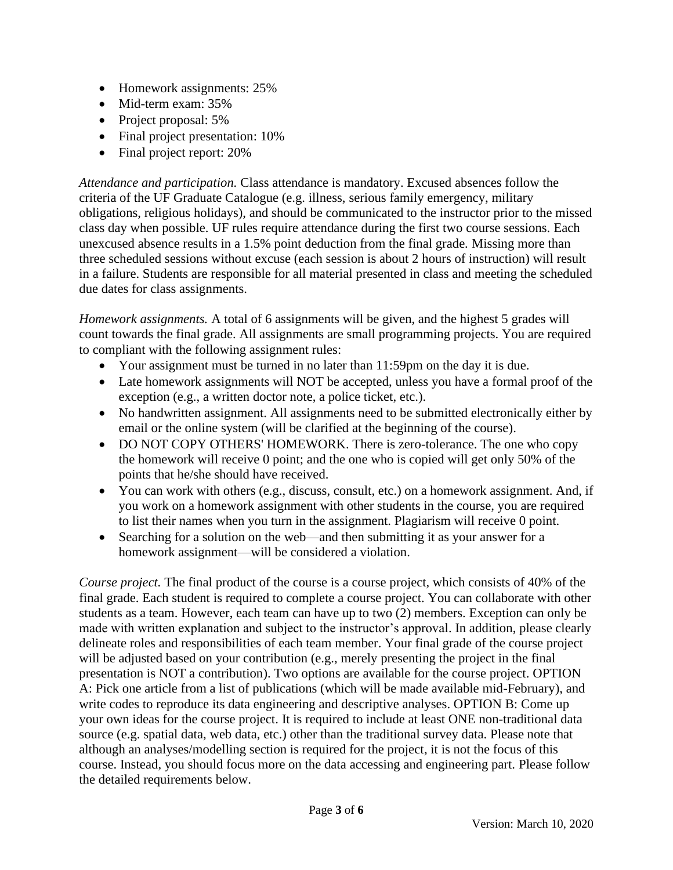- Homework assignments: 25%
- Mid-term exam: 35%
- Project proposal: 5%
- Final project presentation: 10%
- Final project report: 20%

*Attendance and participation.* Class attendance is mandatory. Excused absences follow the criteria of the UF Graduate Catalogue (e.g. illness, serious family emergency, military obligations, religious holidays), and should be communicated to the instructor prior to the missed class day when possible. UF rules require attendance during the first two course sessions. Each unexcused absence results in a 1.5% point deduction from the final grade. Missing more than three scheduled sessions without excuse (each session is about 2 hours of instruction) will result in a failure. Students are responsible for all material presented in class and meeting the scheduled due dates for class assignments.

*Homework assignments.* A total of 6 assignments will be given, and the highest 5 grades will count towards the final grade. All assignments are small programming projects. You are required to compliant with the following assignment rules:

- Your assignment must be turned in no later than 11:59pm on the day it is due.
- Late homework assignments will NOT be accepted, unless you have a formal proof of the exception (e.g., a written doctor note, a police ticket, etc.).
- No handwritten assignment. All assignments need to be submitted electronically either by email or the online system (will be clarified at the beginning of the course).
- DO NOT COPY OTHERS' HOMEWORK. There is zero-tolerance. The one who copy the homework will receive 0 point; and the one who is copied will get only 50% of the points that he/she should have received.
- You can work with others (e.g., discuss, consult, etc.) on a homework assignment. And, if you work on a homework assignment with other students in the course, you are required to list their names when you turn in the assignment. Plagiarism will receive 0 point.
- Searching for a solution on the web—and then submitting it as your answer for a homework assignment—will be considered a violation.

*Course project.* The final product of the course is a course project, which consists of 40% of the final grade. Each student is required to complete a course project. You can collaborate with other students as a team. However, each team can have up to two (2) members. Exception can only be made with written explanation and subject to the instructor's approval. In addition, please clearly delineate roles and responsibilities of each team member. Your final grade of the course project will be adjusted based on your contribution (e.g., merely presenting the project in the final presentation is NOT a contribution). Two options are available for the course project. OPTION A: Pick one article from a list of publications (which will be made available mid-February), and write codes to reproduce its data engineering and descriptive analyses. OPTION B: Come up your own ideas for the course project. It is required to include at least ONE non-traditional data source (e.g. spatial data, web data, etc.) other than the traditional survey data. Please note that although an analyses/modelling section is required for the project, it is not the focus of this course. Instead, you should focus more on the data accessing and engineering part. Please follow the detailed requirements below.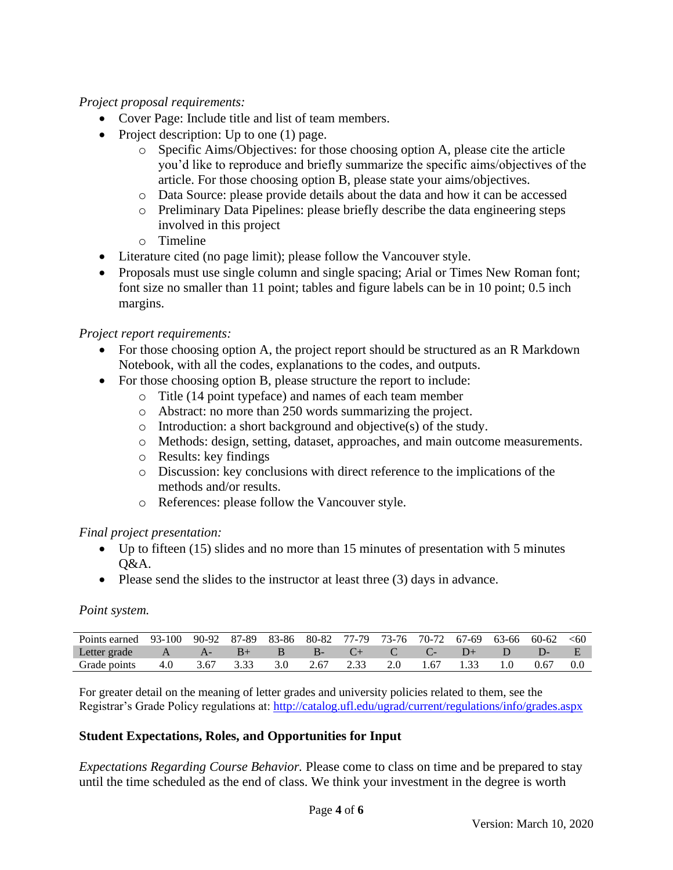## *Project proposal requirements:*

- Cover Page: Include title and list of team members.
- Project description: Up to one (1) page.
	- o Specific Aims/Objectives: for those choosing option A, please cite the article you'd like to reproduce and briefly summarize the specific aims/objectives of the article. For those choosing option B, please state your aims/objectives.
	- o Data Source: please provide details about the data and how it can be accessed
	- o Preliminary Data Pipelines: please briefly describe the data engineering steps involved in this project
	- o Timeline
- Literature cited (no page limit); please follow the Vancouver style.
- Proposals must use single column and single spacing; Arial or Times New Roman font; font size no smaller than 11 point; tables and figure labels can be in 10 point; 0.5 inch margins.

### *Project report requirements:*

- For those choosing option A, the project report should be structured as an R Markdown Notebook, with all the codes, explanations to the codes, and outputs.
- For those choosing option B, please structure the report to include:
	- o Title (14 point typeface) and names of each team member
	- o Abstract: no more than 250 words summarizing the project.
	- o Introduction: a short background and objective(s) of the study.
	- o Methods: design, setting, dataset, approaches, and main outcome measurements.
	- o Results: key findings
	- o Discussion: key conclusions with direct reference to the implications of the methods and/or results.
	- o References: please follow the Vancouver style.

### *Final project presentation:*

- Up to fifteen (15) slides and no more than 15 minutes of presentation with 5 minutes  $O&A$ .
- Please send the slides to the instructor at least three (3) days in advance.

### *Point system.*

| Points earned 93-100 90-92 87-89 83-86 80-82 77-79 73-76 70-72 67-69 63-66 60-62 <60 |     |      |      |                |             |                     |                       |         |      |  |
|--------------------------------------------------------------------------------------|-----|------|------|----------------|-------------|---------------------|-----------------------|---------|------|--|
| Letter grade                                                                         |     | $A-$ | $B+$ | $\overline{B}$ | $R_{\rm B}$ | $C_{\pm}$ $C_{\pm}$ | $\angle C - \angle C$ | $D^+$ D |      |  |
| Grade points                                                                         | 4.0 | 3.67 | 3.33 | 3.0            | 2.67        |                     | 1.67                  |         | 0.67 |  |

For greater detail on the meaning of letter grades and university policies related to them, see the Registrar's Grade Policy regulations at:<http://catalog.ufl.edu/ugrad/current/regulations/info/grades.aspx>

### **Student Expectations, Roles, and Opportunities for Input**

*Expectations Regarding Course Behavior.* Please come to class on time and be prepared to stay until the time scheduled as the end of class. We think your investment in the degree is worth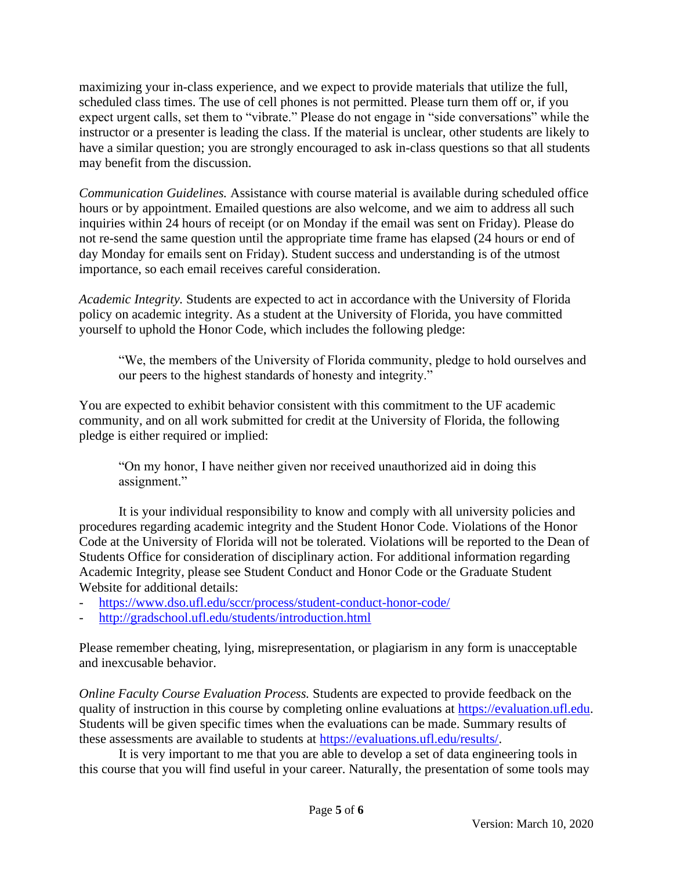maximizing your in-class experience, and we expect to provide materials that utilize the full, scheduled class times. The use of cell phones is not permitted. Please turn them off or, if you expect urgent calls, set them to "vibrate." Please do not engage in "side conversations" while the instructor or a presenter is leading the class. If the material is unclear, other students are likely to have a similar question; you are strongly encouraged to ask in-class questions so that all students may benefit from the discussion.

*Communication Guidelines.* Assistance with course material is available during scheduled office hours or by appointment. Emailed questions are also welcome, and we aim to address all such inquiries within 24 hours of receipt (or on Monday if the email was sent on Friday). Please do not re-send the same question until the appropriate time frame has elapsed (24 hours or end of day Monday for emails sent on Friday). Student success and understanding is of the utmost importance, so each email receives careful consideration.

*Academic Integrity.* Students are expected to act in accordance with the University of Florida policy on academic integrity. As a student at the University of Florida, you have committed yourself to uphold the Honor Code, which includes the following pledge:

"We, the members of the University of Florida community, pledge to hold ourselves and our peers to the highest standards of honesty and integrity."

You are expected to exhibit behavior consistent with this commitment to the UF academic community, and on all work submitted for credit at the University of Florida, the following pledge is either required or implied:

"On my honor, I have neither given nor received unauthorized aid in doing this assignment."

It is your individual responsibility to know and comply with all university policies and procedures regarding academic integrity and the Student Honor Code. Violations of the Honor Code at the University of Florida will not be tolerated. Violations will be reported to the Dean of Students Office for consideration of disciplinary action. For additional information regarding Academic Integrity, please see Student Conduct and Honor Code or the Graduate Student Website for additional details:

- <https://www.dso.ufl.edu/sccr/process/student-conduct-honor-code/>
- <http://gradschool.ufl.edu/students/introduction.html>

Please remember cheating, lying, misrepresentation, or plagiarism in any form is unacceptable and inexcusable behavior.

*Online Faculty Course Evaluation Process.* Students are expected to provide feedback on the quality of instruction in this course by completing online evaluations at [https://evaluation.ufl.edu.](https://evaluation.ufl.edu/) Students will be given specific times when the evaluations can be made. Summary results of these assessments are available to students at [https://evaluations.ufl.edu/results/.](https://evaluations.ufl.edu/results/)

It is very important to me that you are able to develop a set of data engineering tools in this course that you will find useful in your career. Naturally, the presentation of some tools may